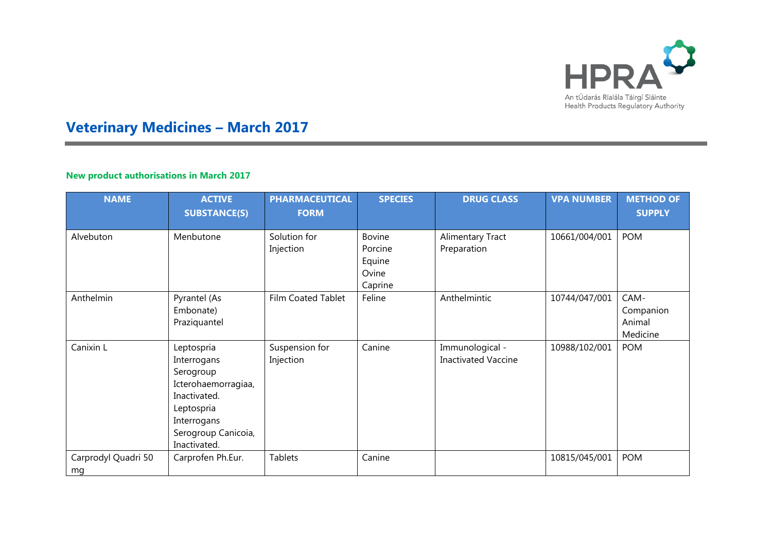

# **Veterinary Medicines – March 2017**

### **New product authorisations in March 2017**

| <b>NAME</b>               | <b>ACTIVE</b><br><b>SUBSTANCE(S)</b>                                                                                                              | <b>PHARMACEUTICAL</b><br><b>FORM</b> | <b>SPECIES</b>                                         | <b>DRUG CLASS</b>                             | <b>VPA NUMBER</b> | <b>METHOD OF</b><br><b>SUPPLY</b>       |
|---------------------------|---------------------------------------------------------------------------------------------------------------------------------------------------|--------------------------------------|--------------------------------------------------------|-----------------------------------------------|-------------------|-----------------------------------------|
| Alvebuton                 | Menbutone                                                                                                                                         | Solution for<br>Injection            | <b>Bovine</b><br>Porcine<br>Equine<br>Ovine<br>Caprine | Alimentary Tract<br>Preparation               | 10661/004/001     | <b>POM</b>                              |
| Anthelmin                 | Pyrantel (As<br>Embonate)<br>Praziquantel                                                                                                         | Film Coated Tablet                   | Feline                                                 | Anthelmintic                                  | 10744/047/001     | CAM-<br>Companion<br>Animal<br>Medicine |
| Canixin L                 | Leptospria<br>Interrogans<br>Serogroup<br>Icterohaemorragiaa,<br>Inactivated.<br>Leptospria<br>Interrogans<br>Serogroup Canicoia,<br>Inactivated. | Suspension for<br>Injection          | Canine                                                 | Immunological -<br><b>Inactivated Vaccine</b> | 10988/102/001     | <b>POM</b>                              |
| Carprodyl Quadri 50<br>mg | Carprofen Ph.Eur.                                                                                                                                 | Tablets                              | Canine                                                 |                                               | 10815/045/001     | <b>POM</b>                              |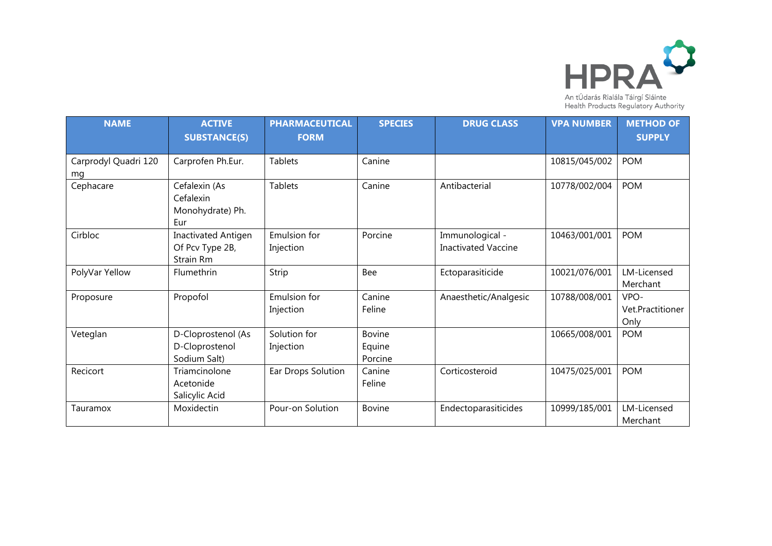

| <b>NAME</b>                | <b>ACTIVE</b>                                              | <b>PHARMACEUTICAL</b>     | <b>SPECIES</b>                     | <b>DRUG CLASS</b>                             | <b>VPA NUMBER</b> | <b>METHOD OF</b>                 |
|----------------------------|------------------------------------------------------------|---------------------------|------------------------------------|-----------------------------------------------|-------------------|----------------------------------|
|                            | <b>SUBSTANCE(S)</b>                                        | <b>FORM</b>               |                                    |                                               |                   | <b>SUPPLY</b>                    |
| Carprodyl Quadri 120<br>mg | Carprofen Ph.Eur.                                          | <b>Tablets</b>            | Canine                             |                                               | 10815/045/002     | <b>POM</b>                       |
| Cephacare                  | Cefalexin (As<br>Cefalexin<br>Monohydrate) Ph.<br>Eur      | Tablets                   | Canine                             | Antibacterial                                 | 10778/002/004     | <b>POM</b>                       |
| Cirbloc                    | <b>Inactivated Antigen</b><br>Of Pcv Type 2B,<br>Strain Rm | Emulsion for<br>Injection | Porcine                            | Immunological -<br><b>Inactivated Vaccine</b> | 10463/001/001     | <b>POM</b>                       |
| PolyVar Yellow             | Flumethrin                                                 | Strip                     | Bee                                | Ectoparasiticide                              | 10021/076/001     | LM-Licensed<br>Merchant          |
| Proposure                  | Propofol                                                   | Emulsion for<br>Injection | Canine<br>Feline                   | Anaesthetic/Analgesic                         | 10788/008/001     | VPO-<br>Vet.Practitioner<br>Only |
| Veteglan                   | D-Cloprostenol (As<br>D-Cloprostenol<br>Sodium Salt)       | Solution for<br>Injection | <b>Bovine</b><br>Equine<br>Porcine |                                               | 10665/008/001     | <b>POM</b>                       |
| Recicort                   | Triamcinolone<br>Acetonide<br>Salicylic Acid               | Ear Drops Solution        | Canine<br>Feline                   | Corticosteroid                                | 10475/025/001     | <b>POM</b>                       |
| Tauramox                   | Moxidectin                                                 | Pour-on Solution          | <b>Bovine</b>                      | Endectoparasiticides                          | 10999/185/001     | LM-Licensed<br>Merchant          |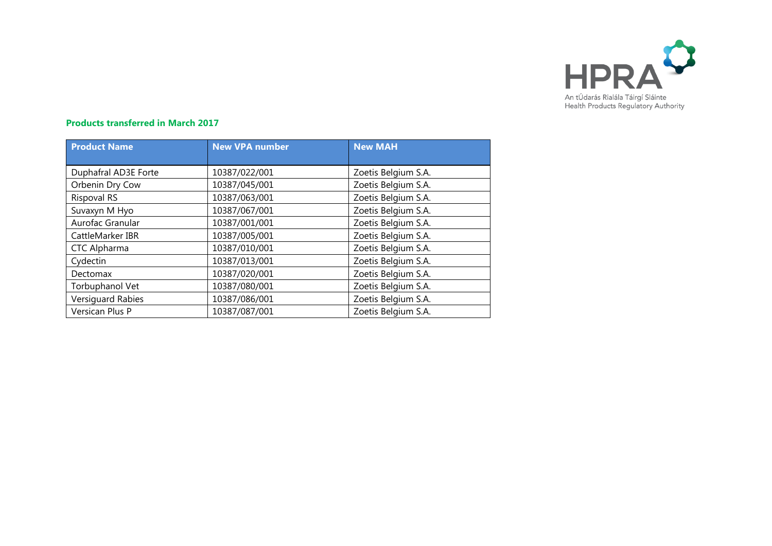

# **Products transferred in March 2017**

| <b>Product Name</b>  | <b>New VPA number</b> | <b>New MAH</b>      |
|----------------------|-----------------------|---------------------|
| Duphafral AD3E Forte | 10387/022/001         | Zoetis Belgium S.A. |
| Orbenin Dry Cow      | 10387/045/001         | Zoetis Belgium S.A. |
| Rispoval RS          | 10387/063/001         | Zoetis Belgium S.A. |
| Suvaxyn M Hyo        | 10387/067/001         | Zoetis Belgium S.A. |
| Aurofac Granular     | 10387/001/001         | Zoetis Belgium S.A. |
| CattleMarker IBR     | 10387/005/001         | Zoetis Belgium S.A. |
| CTC Alpharma         | 10387/010/001         | Zoetis Belgium S.A. |
| Cydectin             | 10387/013/001         | Zoetis Belgium S.A. |
| Dectomax             | 10387/020/001         | Zoetis Belgium S.A. |
| Torbuphanol Vet      | 10387/080/001         | Zoetis Belgium S.A. |
| Versiguard Rabies    | 10387/086/001         | Zoetis Belgium S.A. |
| Versican Plus P      | 10387/087/001         | Zoetis Belgium S.A. |